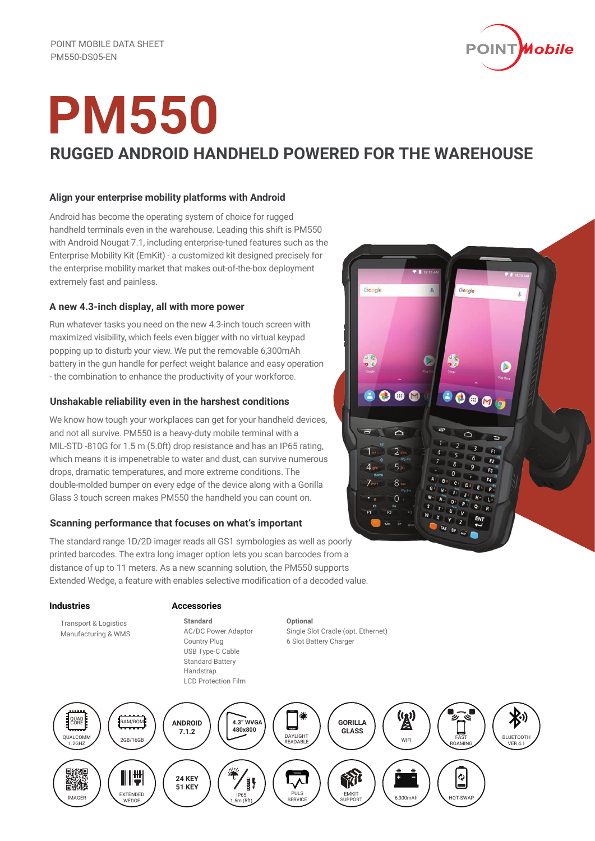

# **PM550 RUGGED ANDROID HANDHELD POWERED FOR THE WAREHOUSE**

## **Align your enterprise mobility platforms with Android**

Android has become the operating system of choice for rugged handheld terminals even in the warehouse. Leading this shift is PM550 with Android Nougat 7.1, including enterprise-tuned features such as the Enterprise Mobility Kit (EmKit) - a customized kit designed precisely for the enterprise mobility market that makes out-of-the-box deployment extremely fast and painless.

# **A new 4.3-inch display, all with more power**

Run whatever tasks you need on the new 4.3-inch touch screen with maximized visibility, which feels even bigger with no virtual keypad popping up to disturb your view. We put the removable 6,300mAh battery in the gun handle for perfect weight balance and easy operation - the combination to enhance the productivity of your workforce.

## **Unshakable reliability even in the harshest conditions**

We know how tough your workplaces can get for your handheld devices, and not all survive. PM550 is a heavy-duty mobile terminal with a MIL-STD -810G for 1.5 m (5.0ft) drop resistance and has an IP65 rating, which means it is impenetrable to water and dust, can survive numerous drops, dramatic temperatures, and more extreme conditions. The double-molded bumper on every edge of the device along with a Gorilla Glass 3 touch screen makes PM550 the handheld you can count on.

# **Scanning performance that focuses on what's important**

The standard range 1D/2D imager reads all GS1 symbologies as well as poorly printed barcodes. The extra long imager option lets you scan barcodes from a distance of up to 11 meters. As a new scanning solution, the PM550 supports Extended Wedge, a feature with enables selective modification of a decoded value.

#### **Industries**

 Transport & Logistics Manufacturing & WMS

#### **Accessories**

**Standard** AC/DC Power Adaptor Country Plug USB Type-C Cable Standard Battery **Handstrap** LCD Protection Film

**Optional** Single Slot Cradle (opt. Ethernet) 6 Slot Battery Charger